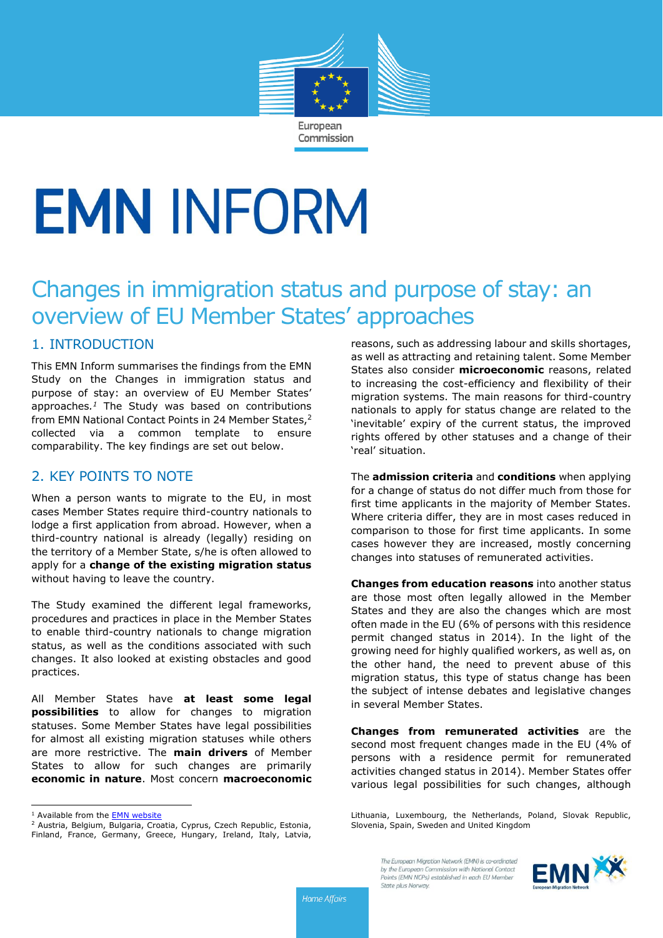

# **EMN INFORM**

# Changes in immigration status and purpose of stay: an overview of EU Member States' approaches

# 1. INTRODUCTION

This EMN Inform summarises the findings from the EMN Study on the Changes in immigration status and purpose of stay: an overview of EU Member States' approaches*. <sup>1</sup>* The Study was based on contributions from EMN National Contact Points in 24 Member States, 2 collected via a common template to ensure comparability. The key findings are set out below.

# 2. KEY POINTS TO NOTE

When a person wants to migrate to the EU, in most cases Member States require third-country nationals to lodge a first application from abroad. However, when a third-country national is already (legally) residing on the territory of a Member State, s/he is often allowed to apply for a **change of the existing migration status** without having to leave the country.

The Study examined the different legal frameworks, procedures and practices in place in the Member States to enable third-country nationals to change migration status, as well as the conditions associated with such changes. It also looked at existing obstacles and good practices.

All Member States have **at least some legal possibilities** to allow for changes to migration statuses. Some Member States have legal possibilities for almost all existing migration statuses while others are more restrictive. The **main drivers** of Member States to allow for such changes are primarily **economic in nature**. Most concern **macroeconomic**

 $\overline{a}$ 

<sup>2</sup> Austria, Belgium, Bulgaria, Croatia, Cyprus, Czech Republic, Estonia, Finland, France, Germany, Greece, Hungary, Ireland, Italy, Latvia, reasons, such as addressing labour and skills shortages, as well as attracting and retaining talent. Some Member States also consider **microeconomic** reasons, related to increasing the cost-efficiency and flexibility of their migration systems. The main reasons for third-country nationals to apply for status change are related to the 'inevitable' expiry of the current status, the improved rights offered by other statuses and a change of their 'real' situation.

The **admission criteria** and **conditions** when applying for a change of status do not differ much from those for first time applicants in the majority of Member States. Where criteria differ, they are in most cases reduced in comparison to those for first time applicants. In some cases however they are increased, mostly concerning changes into statuses of remunerated activities.

**Changes from education reasons** into another status are those most often legally allowed in the Member States and they are also the changes which are most often made in the EU (6% of persons with this residence permit changed status in 2014). In the light of the growing need for highly qualified workers, as well as, on the other hand, the need to prevent abuse of this migration status, this type of status change has been the subject of intense debates and legislative changes in several Member States.

**Changes from remunerated activities** are the second most frequent changes made in the EU (4% of persons with a residence permit for remunerated activities changed status in 2014). Member States offer various legal possibilities for such changes, although

Lithuania, Luxembourg, the Netherlands, Poland, Slovak Republic, Slovenia, Spain, Sweden and United Kingdom



<sup>&</sup>lt;sup>1</sup> Available from the **EMN** website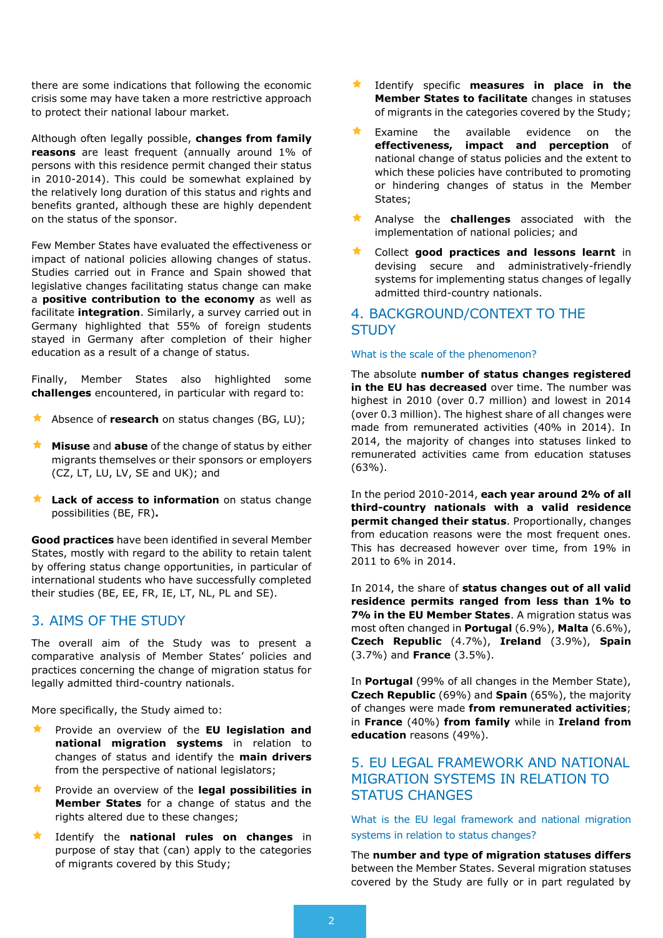there are some indications that following the economic crisis some may have taken a more restrictive approach to protect their national labour market.

Although often legally possible, **changes from family reasons** are least frequent (annually around 1% of persons with this residence permit changed their status in 2010-2014). This could be somewhat explained by the relatively long duration of this status and rights and benefits granted, although these are highly dependent on the status of the sponsor.

Few Member States have evaluated the effectiveness or impact of national policies allowing changes of status. Studies carried out in France and Spain showed that legislative changes facilitating status change can make a **positive contribution to the economy** as well as facilitate **integration**. Similarly, a survey carried out in Germany highlighted that 55% of foreign students stayed in Germany after completion of their higher education as a result of a change of status.

Finally, Member States also highlighted some **challenges** encountered, in particular with regard to:

- Absence of **research** on status changes (BG, LU);
- **Misuse** and **abuse** of the change of status by either migrants themselves or their sponsors or employers (CZ, LT, LU, LV, SE and UK); and
- **Lack of access to information** on status change possibilities (BE, FR)**.**

**Good practices** have been identified in several Member States, mostly with regard to the ability to retain talent by offering status change opportunities, in particular of international students who have successfully completed their studies (BE, EE, FR, IE, LT, NL, PL and SE).

# 3. AIMS OF THE STUDY

The overall aim of the Study was to present a comparative analysis of Member States' policies and practices concerning the change of migration status for legally admitted third-country nationals.

More specifically, the Study aimed to:

- Provide an overview of the **EU legislation and national migration systems** in relation to changes of status and identify the **main drivers** from the perspective of national legislators;
- Provide an overview of the **legal possibilities in Member States** for a change of status and the rights altered due to these changes;
- Identify the **national rules on changes** in purpose of stay that (can) apply to the categories of migrants covered by this Study;
- Identify specific **measures in place in the Member States to facilitate** changes in statuses of migrants in the categories covered by the Study;
- Examine the available evidence on the **effectiveness, impact and perception** of national change of status policies and the extent to which these policies have contributed to promoting or hindering changes of status in the Member States;
- Analyse the **challenges** associated with the implementation of national policies; and
- Collect **good practices and lessons learnt** in devising secure and administratively-friendly systems for implementing status changes of legally admitted third-country nationals.

# 4. BACKGROUND/CONTEXT TO THE **STUDY**

#### What is the scale of the phenomenon?

The absolute **number of status changes registered in the EU has decreased** over time. The number was highest in 2010 (over 0.7 million) and lowest in 2014 (over 0.3 million). The highest share of all changes were made from remunerated activities (40% in 2014). In 2014, the majority of changes into statuses linked to remunerated activities came from education statuses (63%).

In the period 2010-2014, **each year around 2% of all third-country nationals with a valid residence permit changed their status**. Proportionally, changes from education reasons were the most frequent ones. This has decreased however over time, from 19% in 2011 to 6% in 2014.

In 2014, the share of **status changes out of all valid residence permits ranged from less than 1% to 7% in the EU Member States**. A migration status was most often changed in **Portugal** (6.9%), **Malta** (6.6%), **Czech Republic** (4.7%), **Ireland** (3.9%), **Spain** (3.7%) and **France** (3.5%).

In **Portugal** (99% of all changes in the Member State), **Czech Republic** (69%) and **Spain** (65%), the majority of changes were made **from remunerated activities**; in **France** (40%) **from family** while in **Ireland from education** reasons (49%).

# 5. EU LEGAL FRAMEWORK AND NATIONAL MIGRATION SYSTEMS IN RELATION TO STATUS CHANGES

#### What is the EU legal framework and national migration systems in relation to status changes?

The **number and type of migration statuses differs** between the Member States. Several migration statuses covered by the Study are fully or in part regulated by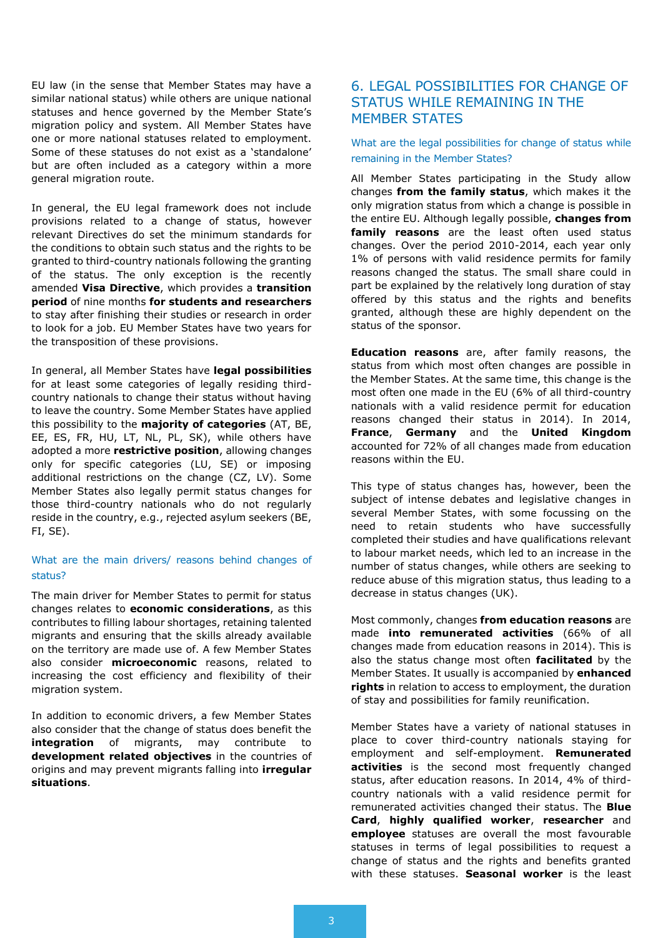EU law (in the sense that Member States may have a similar national status) while others are unique national statuses and hence governed by the Member State's migration policy and system. All Member States have one or more national statuses related to employment. Some of these statuses do not exist as a 'standalone' but are often included as a category within a more general migration route.

In general, the EU legal framework does not include provisions related to a change of status, however relevant Directives do set the minimum standards for the conditions to obtain such status and the rights to be granted to third-country nationals following the granting of the status. The only exception is the recently amended **Visa Directive**, which provides a **transition period** of nine months **for students and researchers** to stay after finishing their studies or research in order to look for a job. EU Member States have two years for the transposition of these provisions.

In general, all Member States have **legal possibilities** for at least some categories of legally residing thirdcountry nationals to change their status without having to leave the country. Some Member States have applied this possibility to the **majority of categories** (AT, BE, EE, ES, FR, HU, LT, NL, PL, SK), while others have adopted a more **restrictive position**, allowing changes only for specific categories (LU, SE) or imposing additional restrictions on the change (CZ, LV). Some Member States also legally permit status changes for those third-country nationals who do not regularly reside in the country, e.g., rejected asylum seekers (BE, FI, SE).

#### What are the main drivers/ reasons behind changes of status?

The main driver for Member States to permit for status changes relates to **economic considerations**, as this contributes to filling labour shortages, retaining talented migrants and ensuring that the skills already available on the territory are made use of. A few Member States also consider **microeconomic** reasons, related to increasing the cost efficiency and flexibility of their migration system.

In addition to economic drivers, a few Member States also consider that the change of status does benefit the **integration** of migrants, may contribute to **development related objectives** in the countries of origins and may prevent migrants falling into **irregular situations**.

# 6. LEGAL POSSIBILITIES FOR CHANGE OF STATUS WHILE REMAINING IN THE MEMBER STATES

What are the legal possibilities for change of status while remaining in the Member States?

All Member States participating in the Study allow changes **from the family status**, which makes it the only migration status from which a change is possible in the entire EU. Although legally possible, **changes from family reasons** are the least often used status changes. Over the period 2010-2014, each year only 1% of persons with valid residence permits for family reasons changed the status. The small share could in part be explained by the relatively long duration of stay offered by this status and the rights and benefits granted, although these are highly dependent on the status of the sponsor.

**Education reasons** are, after family reasons, the status from which most often changes are possible in the Member States. At the same time, this change is the most often one made in the EU (6% of all third-country nationals with a valid residence permit for education reasons changed their status in 2014). In 2014, **France**, **Germany** and the **United Kingdom** accounted for 72% of all changes made from education reasons within the EU.

This type of status changes has, however, been the subject of intense debates and legislative changes in several Member States, with some focussing on the need to retain students who have successfully completed their studies and have qualifications relevant to labour market needs, which led to an increase in the number of status changes, while others are seeking to reduce abuse of this migration status, thus leading to a decrease in status changes (UK).

Most commonly, changes **from education reasons** are made **into remunerated activities** (66% of all changes made from education reasons in 2014). This is also the status change most often **facilitated** by the Member States. It usually is accompanied by **enhanced rights** in relation to access to employment, the duration of stay and possibilities for family reunification.

Member States have a variety of national statuses in place to cover third-country nationals staying for employment and self-employment. **Remunerated activities** is the second most frequently changed status, after education reasons. In 2014, 4% of thirdcountry nationals with a valid residence permit for remunerated activities changed their status. The **Blue Card**, **highly qualified worker**, **researcher** and **employee** statuses are overall the most favourable statuses in terms of legal possibilities to request a change of status and the rights and benefits granted with these statuses. **Seasonal worker** is the least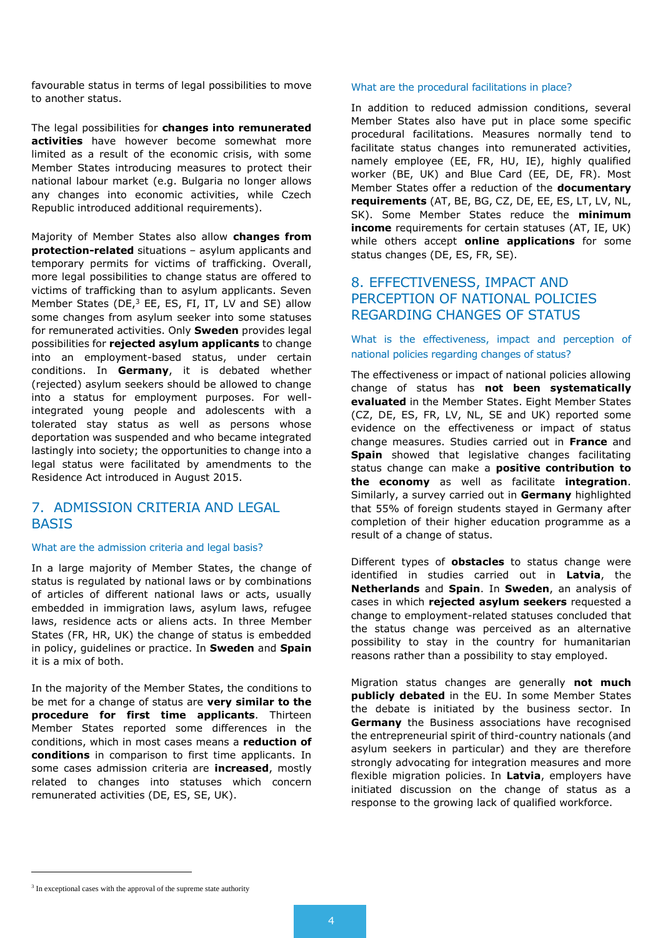favourable status in terms of legal possibilities to move to another status.

The legal possibilities for **changes into remunerated activities** have however become somewhat more limited as a result of the economic crisis, with some Member States introducing measures to protect their national labour market (e.g. Bulgaria no longer allows any changes into economic activities, while Czech Republic introduced additional requirements).

Majority of Member States also allow **changes from protection-related** situations – asylum applicants and temporary permits for victims of trafficking. Overall, more legal possibilities to change status are offered to victims of trafficking than to asylum applicants. Seven Member States (DE,<sup>3</sup> EE, ES, FI, IT, LV and SE) allow some changes from asylum seeker into some statuses for remunerated activities. Only **Sweden** provides legal possibilities for **rejected asylum applicants** to change into an employment-based status, under certain conditions. In **Germany**, it is debated whether (rejected) asylum seekers should be allowed to change into a status for employment purposes. For wellintegrated young people and adolescents with a tolerated stay status as well as persons whose deportation was suspended and who became integrated lastingly into society; the opportunities to change into a legal status were facilitated by amendments to the Residence Act introduced in August 2015.

# 7. ADMISSION CRITERIA AND LEGAL BASIS

#### What are the admission criteria and legal basis?

In a large majority of Member States, the change of status is regulated by national laws or by combinations of articles of different national laws or acts, usually embedded in immigration laws, asylum laws, refugee laws, residence acts or aliens acts. In three Member States (FR, HR, UK) the change of status is embedded in policy, guidelines or practice. In **Sweden** and **Spain** it is a mix of both.

In the majority of the Member States, the conditions to be met for a change of status are **very similar to the procedure for first time applicants**. Thirteen Member States reported some differences in the conditions, which in most cases means a **reduction of conditions** in comparison to first time applicants. In some cases admission criteria are **increased**, mostly related to changes into statuses which concern remunerated activities (DE, ES, SE, UK).

#### What are the procedural facilitations in place?

In addition to reduced admission conditions, several Member States also have put in place some specific procedural facilitations. Measures normally tend to facilitate status changes into remunerated activities, namely employee (EE, FR, HU, IE), highly qualified worker (BE, UK) and Blue Card (EE, DE, FR). Most Member States offer a reduction of the **documentary requirements** (AT, BE, BG, CZ, DE, EE, ES, LT, LV, NL, SK). Some Member States reduce the **minimum income** requirements for certain statuses (AT, IE, UK) while others accept **online applications** for some status changes (DE, ES, FR, SE).

#### 8. EFFECTIVENESS, IMPACT AND PERCEPTION OF NATIONAL POLICIES REGARDING CHANGES OF STATUS

#### What is the effectiveness, impact and perception of national policies regarding changes of status?

The effectiveness or impact of national policies allowing change of status has **not been systematically evaluated** in the Member States. Eight Member States (CZ, DE, ES, FR, LV, NL, SE and UK) reported some evidence on the effectiveness or impact of status change measures. Studies carried out in **France** and **Spain** showed that legislative changes facilitating status change can make a **positive contribution to the economy** as well as facilitate **integration**. Similarly, a survey carried out in **Germany** highlighted that 55% of foreign students stayed in Germany after completion of their higher education programme as a result of a change of status.

Different types of **obstacles** to status change were identified in studies carried out in **Latvia**, the **Netherlands** and **Spain**. In **Sweden**, an analysis of cases in which **rejected asylum seekers** requested a change to employment-related statuses concluded that the status change was perceived as an alternative possibility to stay in the country for humanitarian reasons rather than a possibility to stay employed.

Migration status changes are generally **not much publicly debated** in the EU. In some Member States the debate is initiated by the business sector. In **Germany** the Business associations have recognised the entrepreneurial spirit of third-country nationals (and asylum seekers in particular) and they are therefore strongly advocating for integration measures and more flexible migration policies. In **Latvia**, employers have initiated discussion on the change of status as a response to the growing lack of qualified workforce.

 $\overline{a}$ 

<sup>&</sup>lt;sup>3</sup> In exceptional cases with the approval of the supreme state authority